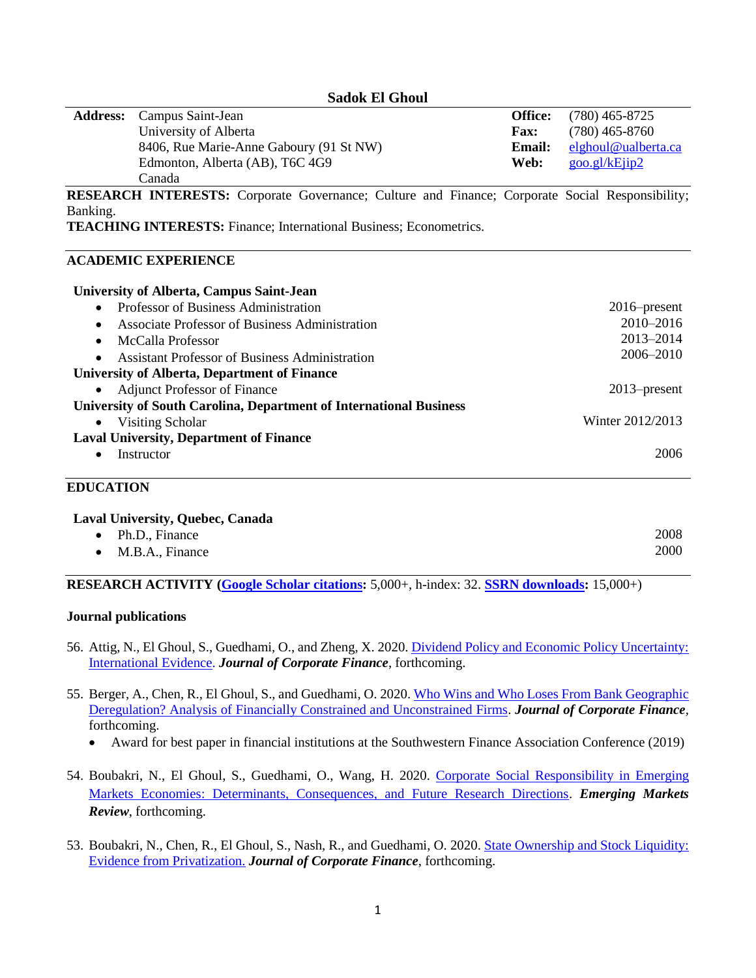**Sadok El Ghoul**

| <b>Address:</b> Campus Saint-Jean       | <b>Office:</b> | $(780)$ 465-8725    |
|-----------------------------------------|----------------|---------------------|
| University of Alberta                   | <b>Fax:</b>    | $(780)$ 465-8760    |
| 8406, Rue Marie-Anne Gaboury (91 St NW) | Email:         | elghoul@ualberta.ca |
| Edmonton, Alberta (AB), T6C 4G9         | Web:           | goo.gl/kEjip2       |
| Canada                                  |                |                     |

**RESEARCH INTERESTS:** Corporate Governance; Culture and Finance; Corporate Social Responsibility; Banking.

**TEACHING INTERESTS:** Finance; International Business; Econometrics.

#### **ACADEMIC EXPERIENCE**

| University of Alberta, Campus Saint-Jean                           |                  |
|--------------------------------------------------------------------|------------------|
| Professor of Business Administration<br>$\bullet$                  | $2016$ -present  |
| Associate Professor of Business Administration<br>$\bullet$        | 2010-2016        |
| McCalla Professor<br>$\bullet$                                     | $2013 - 2014$    |
| <b>Assistant Professor of Business Administration</b><br>$\bullet$ | 2006-2010        |
| <b>University of Alberta, Department of Finance</b>                |                  |
| <b>Adjunct Professor of Finance</b><br>$\bullet$                   | $2013$ -present  |
| University of South Carolina, Department of International Business |                  |
| Visiting Scholar<br>$\bullet$                                      | Winter 2012/2013 |
| <b>Laval University, Department of Finance</b>                     |                  |
| Instructor<br>$\bullet$                                            | 2006             |
|                                                                    |                  |

## **EDUCATION**

| <b>Laval University, Quebec, Canada</b> |                           |      |  |  |
|-----------------------------------------|---------------------------|------|--|--|
|                                         | $\bullet$ Ph.D., Finance  | 2008 |  |  |
|                                         | $\bullet$ M.B.A., Finance | 2000 |  |  |

**RESEARCH ACTIVITY [\(Google Scholar citations:](https://scholar.google.ca/citations?user=U5SBahcAAAAJ&hl=en)** 5,000+, h-index: 32. **[SSRN downloads:](https://papers.ssrn.com/sol3/cf_dev/AbsByAuth.cfm?per_id=800047)** 15,000+)

#### **Journal publications**

- 56. Attig, N., El Ghoul, S., Guedhami, O., and Zheng, X. 2020. [Dividend Policy and Economic Policy Uncertainty:](https://papers.ssrn.com/sol3/papers.cfm?abstract_id=3295228)  [International Evidence.](https://papers.ssrn.com/sol3/papers.cfm?abstract_id=3295228) *Journal of Corporate Finance*, forthcoming.
- 55. Berger, A., Chen, R., El Ghoul, S., and Guedhami, O. 2020. [Who Wins and Who Loses From Bank Geographic](https://papers.ssrn.com/sol3/papers.cfm?abstract_id=3185751)  [Deregulation? Analysis of Financially Constrained and Unconstrained Firms.](https://papers.ssrn.com/sol3/papers.cfm?abstract_id=3185751) *Journal of Corporate Finance*, forthcoming.
	- Award for best paper in financial institutions at the Southwestern Finance Association Conference (2019)
- 54. Boubakri, N., El Ghoul, S., Guedhami, O., Wang, H. 2020. [Corporate Social Responsibility in Emerging](https://papers.ssrn.com/sol3/papers.cfm?abstract_id=3718750)  [Markets Economies: Determinants, Consequences, and Future Research Directions.](https://papers.ssrn.com/sol3/papers.cfm?abstract_id=3718750) *Emerging Markets Review*, forthcoming.
- 53. Boubakri, N., Chen, R., El Ghoul, S., Nash, R., and Guedhami, O. 2020. [State Ownership and Stock Liquidity:](https://papers.ssrn.com/sol3/papers.cfm?abstract_id=2984587)  [Evidence from Privatization.](https://papers.ssrn.com/sol3/papers.cfm?abstract_id=2984587) *Journal of Corporate Finance*, forthcoming.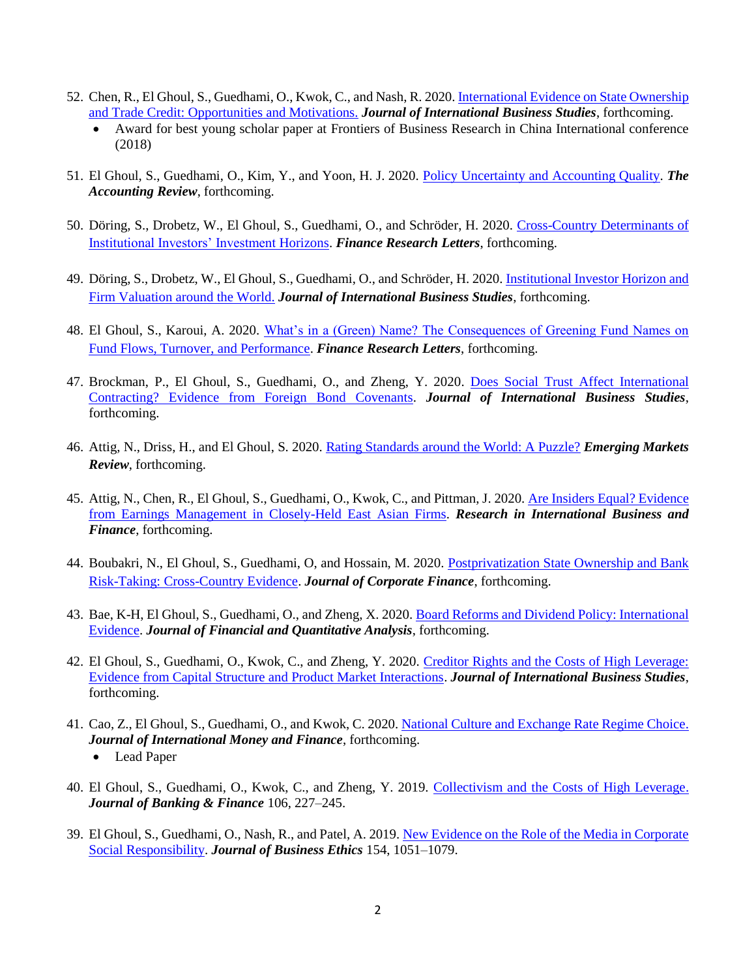- 52. Chen, R., El Ghoul, S., Guedhami, O., Kwok, C., and Nash, R. 2020. [International Evidence on State Ownership](https://papers.ssrn.com/sol3/papers.cfm?abstract_id=3103467)  [and Trade Credit: Opportunities and Motivations.](https://papers.ssrn.com/sol3/papers.cfm?abstract_id=3103467) *Journal of International Business Studies*, forthcoming.
	- Award for best young scholar paper at Frontiers of Business Research in China International conference (2018)
- 51. El Ghoul, S., Guedhami, O., Kim, Y., and Yoon, H. J. 2020. [Policy Uncertainty and Accounting Quality.](https://papers.ssrn.com/sol3/papers.cfm?abstract_id=3634315) *The Accounting Review*, forthcoming.
- 50. Döring, S., Drobetz, W., El Ghoul, S., Guedhami, O., and Schröder, H. 2020. [Cross-Country Determinants of](https://papers.ssrn.com/sol3/papers.cfm?abstract_id=3619693)  [Institutional Investors' Investment Horizons.](https://papers.ssrn.com/sol3/papers.cfm?abstract_id=3619693) *Finance Research Letters*, forthcoming.
- 49. Döring, S., Drobetz, W., El Ghoul, S., Guedhami, O., and Schröder, H. 2020. [Institutional Investor Horizon and](https://papers.ssrn.com/sol3/papers.cfm?abstract_id=3380715)  [Firm Valuation around the World.](https://papers.ssrn.com/sol3/papers.cfm?abstract_id=3380715) *Journal of International Business Studies*, forthcoming.
- 48. El Ghoul, S., Karoui, A. 2020. [What's in a \(Green\) Name? The Consequences of Greening Fund Names on](https://papers.ssrn.com/sol3/papers.cfm?abstract_id=3593056)  [Fund Flows, Turnover, and Performance.](https://papers.ssrn.com/sol3/papers.cfm?abstract_id=3593056) *Finance Research Letters*, forthcoming.
- 47. Brockman, P., El Ghoul, S., Guedhami, O., and Zheng, Y. 2020. [Does Social Trust Affect International](https://papers.ssrn.com/sol3/papers.cfm?abstract_id=3118727)  [Contracting? Evidence from Foreign Bond Covenants.](https://papers.ssrn.com/sol3/papers.cfm?abstract_id=3118727) *Journal of International Business Studies*, forthcoming.
- 46. Attig, N., Driss, H., and El Ghoul, S. 2020. [Rating Standards around the World: A Puzzle?](https://papers.ssrn.com/sol3/papers.cfm?abstract_id=3341809) *Emerging Markets Review*, forthcoming.
- 45. Attig, N., Chen, R., El Ghoul, S., Guedhami, O., Kwok, C., and Pittman, J. 2020. [Are Insiders Equal? Evidence](https://papers.ssrn.com/sol3/papers.cfm?abstract_id=3007494)  [from Earnings Management in Closely-Held East Asian Firms.](https://papers.ssrn.com/sol3/papers.cfm?abstract_id=3007494) *Research in International Business and Finance*, forthcoming.
- 44. Boubakri, N., El Ghoul, S., Guedhami, O, and Hossain, M. 2020. [Postprivatization State Ownership and Bank](https://papers.ssrn.com/sol3/papers.cfm?abstract_id=3336023)  [Risk-Taking: Cross-Country Evidence.](https://papers.ssrn.com/sol3/papers.cfm?abstract_id=3336023) *Journal of Corporate Finance*, forthcoming.
- 43. Bae, K-H, El Ghoul, S., Guedhami, O., and Zheng, X. 2020. [Board Reforms and Dividend Policy: International](https://papers.ssrn.com/sol3/papers.cfm?abstract_id=3531413)  [Evidence.](https://papers.ssrn.com/sol3/papers.cfm?abstract_id=3531413) *Journal of Financial and Quantitative Analysis*, forthcoming.
- 42. El Ghoul, S., Guedhami, O., Kwok, C., and Zheng, Y. 2020. [Creditor Rights and the Costs of High Leverage:](https://papers.ssrn.com/sol3/papers.cfm?abstract_id=2980493)  [Evidence from Capital Structure and Product Market Interactions.](https://papers.ssrn.com/sol3/papers.cfm?abstract_id=2980493) *Journal of International Business Studies*, forthcoming.
- 41. Cao, Z., El Ghoul, S., Guedhami, O., and Kwok, C. 2020. [National Culture and Exchange Rate Regime Choice.](https://papers.ssrn.com/sol3/papers.cfm?abstract_id=3294395) *Journal of International Money and Finance*, forthcoming.
	- Lead Paper
- 40. El Ghoul, S., Guedhami, O., Kwok, C., and Zheng, Y. 2019. [Collectivism and the Costs of High Leverage.](https://papers.ssrn.com/sol3/papers.cfm?abstract_id=3007493) *Journal of Banking & Finance* 106, 227–245.
- 39. El Ghoul, S., Guedhami, O., Nash, R., and Patel, A. 2019. [New Evidence on the Role of the Media in Corporate](https://papers.ssrn.com/sol3/papers.cfm?abstract_id=2712239)  [Social Responsibility.](https://papers.ssrn.com/sol3/papers.cfm?abstract_id=2712239) *Journal of Business Ethics* 154, 1051–1079.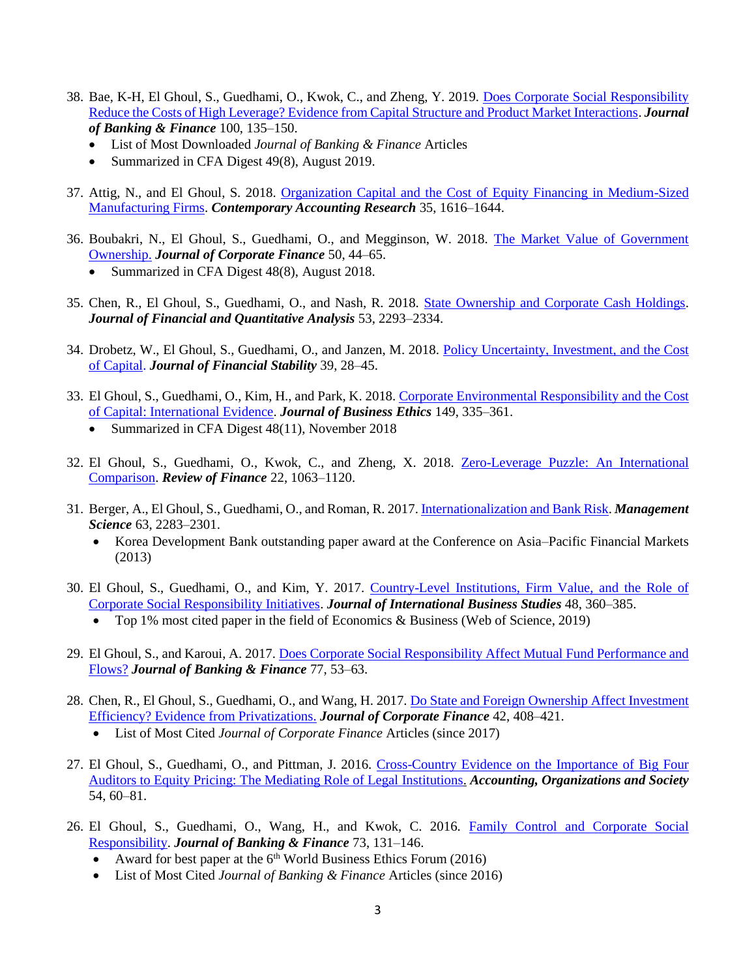- 38. Bae, K-H, El Ghoul, S., Guedhami, O., Kwok, C., and Zheng, Y. 2019. [Does Corporate Social Responsibility](https://papers.ssrn.com/sol3/papers.cfm?abstract_id=2959444)  [Reduce the Costs of High Leverage? Evidence from Capital Structure and Product Market Interactions.](https://papers.ssrn.com/sol3/papers.cfm?abstract_id=2959444) *Journal of Banking & Finance* 100, 135–150.
	- List of Most Downloaded *Journal of Banking & Finance* Articles
	- Summarized in CFA Digest 49(8), August 2019.
- 37. Attig, N., and El Ghoul, S. 2018. [Organization Capital and the Cost of Equity Financing in Medium-Sized](https://papers.ssrn.com/sol3/papers.cfm?abstract_id=2969692)  [Manufacturing Firms.](https://papers.ssrn.com/sol3/papers.cfm?abstract_id=2969692) *Contemporary Accounting Research* 35, 1616–1644.
- 36. Boubakri, N., El Ghoul, S., Guedhami, O., and Megginson, W. 2018. [The Market Value of Government](https://papers.ssrn.com/sol3/papers.cfm?abstract_id=2967915)  [Ownership.](https://papers.ssrn.com/sol3/papers.cfm?abstract_id=2967915) *Journal of Corporate Finance* 50, 44–65.
	- Summarized in CFA Digest 48(8), August 2018.
- 35. Chen, R., El Ghoul, S., Guedhami, O., and Nash, R. 2018. [State Ownership and Corporate Cash Holdings.](https://papers.ssrn.com/sol3/papers.cfm?abstract_id=2707441) *Journal of Financial and Quantitative Analysis* 53, 2293–2334.
- 34. Drobetz, W., El Ghoul, S., Guedhami, O., and Janzen, M. 2018. [Policy Uncertainty, Investment, and the Cost](https://papers.ssrn.com/sol3/papers.cfm?abstract_id=2980918)  [of Capital.](https://papers.ssrn.com/sol3/papers.cfm?abstract_id=2980918) *Journal of Financial Stability* 39, 28–45.
- 33. El Ghoul, S., Guedhami, O., Kim, H., and Park, K. 2018. [Corporate Environmental Responsibility and the Cost](https://papers.ssrn.com/sol3/papers.cfm?abstract_id=2470853)  [of Capital: International Evidence.](https://papers.ssrn.com/sol3/papers.cfm?abstract_id=2470853) *Journal of Business Ethics* 149, 335–361.
	- Summarized in CFA Digest 48(11), November 2018
- 32. El Ghoul, S., Guedhami, O., Kwok, C., and Zheng, X. 2018. [Zero-Leverage Puzzle: An International](https://papers.ssrn.com/sol3/papers.cfm?abstract_id=2851302)  [Comparison.](https://papers.ssrn.com/sol3/papers.cfm?abstract_id=2851302) *Review of Finance* 22, 1063–1120.
- 31. Berger, A., El Ghoul, S., Guedhami, O., and Roman, R. 2017. [Internationalization and Bank Risk.](https://papers.ssrn.com/sol3/papers.cfm?abstract_id=2249048) *Management Science* 63, 2283–2301.
	- Korea Development Bank outstanding paper award at the Conference on Asia–Pacific Financial Markets (2013)
- 30. El Ghoul, S., Guedhami, O., and Kim, Y. 2017. [Country-Level Institutions, Firm Value, and the Role of](https://papers.ssrn.com/sol3/papers.cfm?abstract_id=3160683)  [Corporate Social Responsibility Initiatives.](https://papers.ssrn.com/sol3/papers.cfm?abstract_id=3160683) *Journal of International Business Studies* 48, 360–385.
	- Top 1% most cited paper in the field of Economics & Business (Web of Science, 2019)
- 29. El Ghoul, S., and Karoui, A. 2017. [Does Corporate Social Responsibility Affect Mutual Fund Performance and](https://papers.ssrn.com/sol3/papers.cfm?abstract_id=2699353)  [Flows?](https://papers.ssrn.com/sol3/papers.cfm?abstract_id=2699353) *Journal of Banking & Finance* 77, 53–63.
- 28. Chen, R., El Ghoul, S., Guedhami, O., and Wang, H. 2017. [Do State and Foreign Ownership Affect Investment](https://papers.ssrn.com/sol3/papers.cfm?abstract_id=2531447)  [Efficiency? Evidence from Privatizations.](https://papers.ssrn.com/sol3/papers.cfm?abstract_id=2531447) *Journal of Corporate Finance* 42, 408–421.
	- List of Most Cited *Journal of Corporate Finance* Articles (since 2017)
- 27. El Ghoul, S., Guedhami, O., and Pittman, J. 2016. [Cross-Country Evidence on the Importance of Big Four](https://papers.ssrn.com/sol3/papers.cfm?abstract_id=1567524)  [Auditors to Equity Pricing: The Mediating Role of Legal Institutions.](https://papers.ssrn.com/sol3/papers.cfm?abstract_id=1567524) *Accounting, Organizations and Society* 54, 60–81.
- 26. El Ghoul, S., Guedhami, O., Wang, H., and Kwok, C. 2016. [Family Control and Corporate Social](https://papers.ssrn.com/sol3/papers.cfm?abstract_id=2623246)  [Responsibility.](https://papers.ssrn.com/sol3/papers.cfm?abstract_id=2623246) *Journal of Banking & Finance* 73, 131–146.
	- Award for best paper at the  $6<sup>th</sup>$  World Business Ethics Forum (2016)
	- List of Most Cited *Journal of Banking & Finance* Articles (since 2016)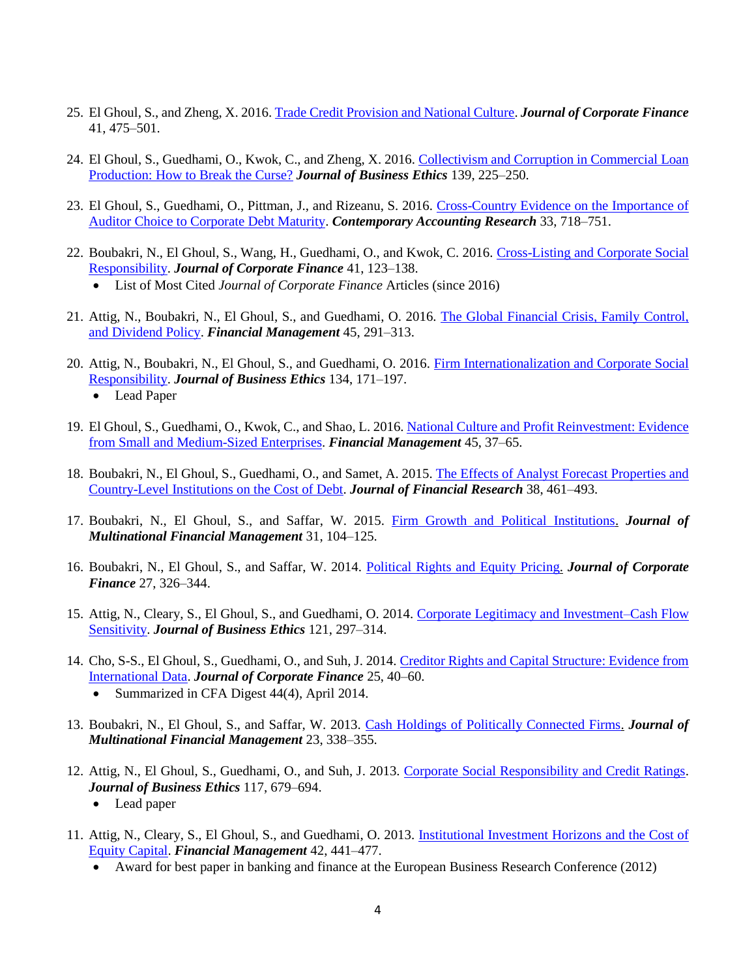- 25. El Ghoul, S., and Zheng, X. 2016[. Trade Credit Provision and National Culture.](https://papers.ssrn.com/sol3/papers.cfm?abstract_id=2792460) *Journal of Corporate Finance* 41, 475–501.
- 24. El Ghoul, S., Guedhami, O., Kwok, C., and Zheng, X. 2016. [Collectivism and Corruption in Commercial Loan](https://papers.ssrn.com/sol3/papers.cfm?abstract_id=3003635)  [Production: How to Break the Curse?](https://papers.ssrn.com/sol3/papers.cfm?abstract_id=3003635) *Journal of Business Ethics* 139, 225–250.
- 23. El Ghoul, S., Guedhami, O., Pittman, J., and Rizeanu, S. 2016. [Cross-Country Evidence on the Importance of](https://papers.ssrn.com/sol3/papers.cfm?abstract_id=2531466)  [Auditor Choice to Corporate Debt Maturity.](https://papers.ssrn.com/sol3/papers.cfm?abstract_id=2531466) *Contemporary Accounting Research* 33, 718–751.
- 22. Boubakri, N., El Ghoul, S., Wang, H., Guedhami, O., and Kwok, C. 2016. [Cross-Listing and Corporate Social](https://papers.ssrn.com/sol3/papers.cfm?abstract_id=2672668)  [Responsibility.](https://papers.ssrn.com/sol3/papers.cfm?abstract_id=2672668) *Journal of Corporate Finance* 41, 123–138.
	- List of Most Cited *Journal of Corporate Finance* Articles (since 2016)
- 21. Attig, N., Boubakri, N., El Ghoul, S., and Guedhami, O. 2016. [The Global Financial Crisis, Family Control,](https://papers.ssrn.com/sol3/papers.cfm?abstract_id=2385037)  [and Dividend Policy.](https://papers.ssrn.com/sol3/papers.cfm?abstract_id=2385037) *Financial Management* 45, 291–313.
- 20. Attig, N., Boubakri, N., El Ghoul, S., and Guedhami, O. 2016. [Firm Internationalization and Corporate Social](https://papers.ssrn.com/sol3/papers.cfm?abstract_id=2365884)  [Responsibility.](https://papers.ssrn.com/sol3/papers.cfm?abstract_id=2365884) *Journal of Business Ethics* 134, 171–197.
	- Lead Paper
- 19. El Ghoul, S., Guedhami, O., Kwok, C., and Shao, L. 2016[. National Culture and Profit Reinvestment: Evidence](https://papers.ssrn.com/sol3/papers.cfm?abstract_id=2401487)  [from Small and Medium-Sized Enterprises.](https://papers.ssrn.com/sol3/papers.cfm?abstract_id=2401487) *Financial Management* 45, 37–65.
- 18. Boubakri, N., El Ghoul, S., Guedhami, O., and Samet, A. 2015. The Effects of Analyst Forecast Properties and [Country-Level Institutions on the Cost of Debt.](https://papers.ssrn.com/sol3/papers.cfm?abstract_id=2367880) *Journal of Financial Research* 38, 461–493.
- 17. Boubakri, N., El Ghoul, S., and Saffar, W. 2015. [Firm Growth and Political Institutions.](https://www.sciencedirect.com/science/article/pii/S1042444X15300013) *Journal of Multinational Financial Management* 31, 104–125.
- 16. Boubakri, N., El Ghoul, S., and Saffar, W. 2014. [Political Rights and Equity Pricing.](https://www.sciencedirect.com/science/article/pii/S0929119914000613) *Journal of Corporate Finance* 27, 326–344.
- 15. Attig, N., Cleary, S., El Ghoul, S., and Guedhami, O. 2014. [Corporate Legitimacy and Investment–Cash Flow](https://papers.ssrn.com/sol3/papers.cfm?abstract_id=3005677)  [Sensitivity.](https://papers.ssrn.com/sol3/papers.cfm?abstract_id=3005677) *Journal of Business Ethics* 121, 297–314.
- 14. Cho, S-S., El Ghoul, S., Guedhami, O., and Suh, J. 2014. [Creditor Rights and Capital Structure: Evidence from](https://papers.ssrn.com/sol3/papers.cfm?abstract_id=2352626)  [International Data.](https://papers.ssrn.com/sol3/papers.cfm?abstract_id=2352626) *Journal of Corporate Finance* 25, 40–60. • Summarized in CFA Digest 44(4), April 2014.
- 13. Boubakri, N., El Ghoul, S., and Saffar, W. 2013. [Cash Holdings of Politically Connected Firms.](https://www.sciencedirect.com/science/article/pii/S1042444X13000315) *Journal of Multinational Financial Management* 23, 338–355.
- 12. Attig, N., El Ghoul, S., Guedhami, O., and Suh, J. 2013. [Corporate Social Responsibility and Credit Ratings.](https://papers.ssrn.com/sol3/papers.cfm?abstract_id=2081942) *Journal of Business Ethics* 117, 679–694.
	- Lead paper
- 11. Attig, N., Cleary, S., El Ghoul, S., and Guedhami, O. 2013. [Institutional Investment Horizons and the Cost of](https://papers.ssrn.com/sol3/papers.cfm?abstract_id=2396938)  [Equity Capital.](https://papers.ssrn.com/sol3/papers.cfm?abstract_id=2396938) *Financial Management* 42, 441–477.
	- Award for best paper in banking and finance at the European Business Research Conference (2012)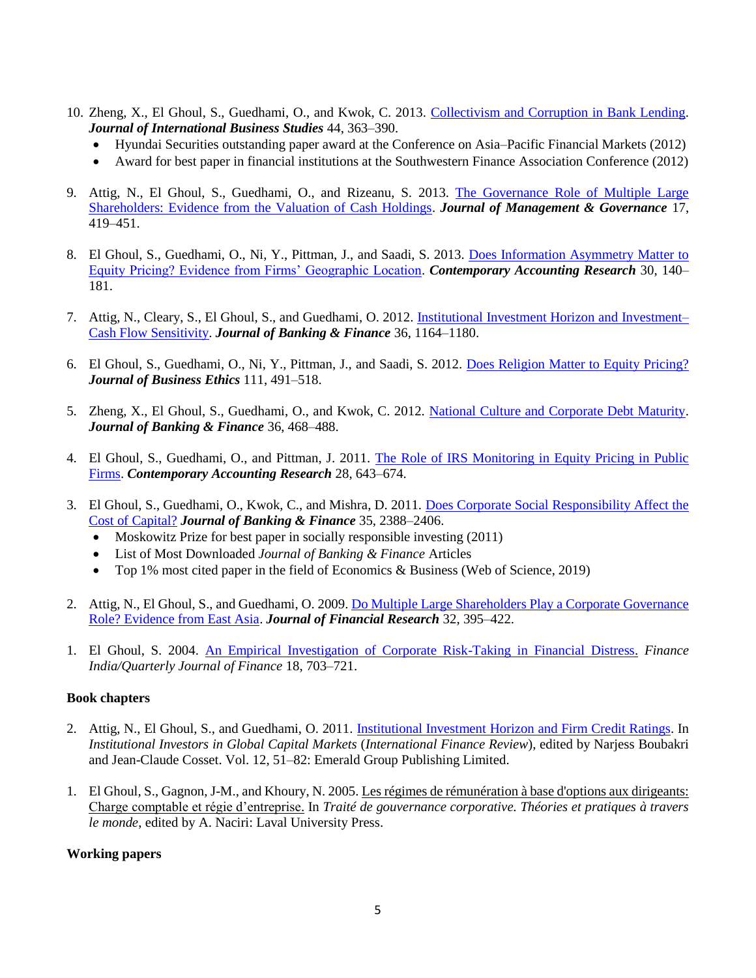- 10. Zheng, X., El Ghoul, S., Guedhami, O., and Kwok, C. 2013. [Collectivism and Corruption in Bank Lending.](https://papers.ssrn.com/sol3/papers.cfm?abstract_id=2352665) *Journal of International Business Studies* 44, 363–390.
	- Hyundai Securities outstanding paper award at the Conference on Asia–Pacific Financial Markets (2012)
	- Award for best paper in financial institutions at the Southwestern Finance Association Conference (2012)
- 9. Attig, N., El Ghoul, S., Guedhami, O., and Rizeanu, S. 2013. [The Governance Role of Multiple Large](https://papers.ssrn.com/sol3/papers.cfm?abstract_id=2352651)  [Shareholders: Evidence from the Valuation of Cash Holdings.](https://papers.ssrn.com/sol3/papers.cfm?abstract_id=2352651) *Journal of Management & Governance* 17, 419–451.
- 8. El Ghoul, S., Guedhami, O., Ni, Y., Pittman, J., and Saadi, S. 2013. [Does Information Asymmetry Matter to](https://papers.ssrn.com/sol3/papers.cfm?abstract_id=1676023)  [Equity Pricing? Evidence from Firms' Geographic Location.](https://papers.ssrn.com/sol3/papers.cfm?abstract_id=1676023) *Contemporary Accounting Research* 30, 140– 181.
- 7. Attig, N., Cleary, S., El Ghoul, S., and Guedhami, O. 2012. [Institutional Investment Horizon and Investment–](https://papers.ssrn.com/sol3/papers.cfm?abstract_id=2352650) Cash [Flow Sensitivity.](https://papers.ssrn.com/sol3/papers.cfm?abstract_id=2352650) *Journal of Banking & Finance* 36, 1164–1180.
- 6. El Ghoul, S., Guedhami, O., Ni, Y., Pittman, J., and Saadi, S. 2012. [Does Religion Matter to Equity Pricing?](https://papers.ssrn.com/sol3/papers.cfm?abstract_id=2016869) *Journal of Business Ethics* 111, 491–518.
- 5. Zheng, X., El Ghoul, S., Guedhami, O., and Kwok, C. 2012. [National Culture and Corporate Debt Maturity.](https://papers.ssrn.com/sol3/papers.cfm?abstract_id=2352660) *Journal of Banking & Finance* 36, 468–488.
- 4. El Ghoul, S., Guedhami, O., and Pittman, J. 2011. [The Role of IRS Monitoring in Equity Pricing in Public](https://papers.ssrn.com/sol3/papers.cfm?abstract_id=2353157)  [Firms.](https://papers.ssrn.com/sol3/papers.cfm?abstract_id=2353157) *Contemporary Accounting Research* 28, 643–674.
- 3. El Ghoul, S., Guedhami, O., Kwok, C., and Mishra, D. 2011. [Does Corporate Social Responsibility Affect the](https://papers.ssrn.com/sol3/papers.cfm?abstract_id=1546755)  [Cost of Capital?](https://papers.ssrn.com/sol3/papers.cfm?abstract_id=1546755) *Journal of Banking & Finance* 35, 2388–2406.
	- Moskowitz Prize for best paper in socially responsible investing (2011)
	- List of Most Downloaded *Journal of Banking & Finance* Articles
	- Top 1% most cited paper in the field of Economics & Business (Web of Science, 2019)
- 2. Attig, N., El Ghoul, S., and Guedhami, O. 2009. Do Multiple Large Shareholders Play a Corporate Governance [Role? Evidence from East Asia.](https://papers.ssrn.com/sol3/papers.cfm?abstract_id=2352677) *Journal of Financial Research* 32, 395–422.
- 1. El Ghoul, S. 2004. [An Empirical Investigation of Corporate Risk-Taking in Financial Distress.](about:blank) *Finance India/Quarterly Journal of Finance* 18, 703–721.

### **Book chapters**

- 2. Attig, N., El Ghoul, S., and Guedhami, O. 2011. [Institutional Investment Horizon and Firm Credit Ratings.](https://papers.ssrn.com/sol3/papers.cfm?abstract_id=3003704) In *Institutional Investors in Global Capital Markets* (*International Finance Review*), edited by Narjess Boubakri and Jean-Claude Cosset. Vol. 12, 51–82: Emerald Group Publishing Limited.
- 1. El Ghoul, S., Gagnon, J-M., and Khoury, N. 2005. Les régimes de rémunération à base d'options aux dirigeants: Charge comptable et régie d'entreprise. In *Traité de gouvernance corporative. Théories et pratiques à travers le monde*, edited by A. Naciri: Laval University Press.

### **Working papers**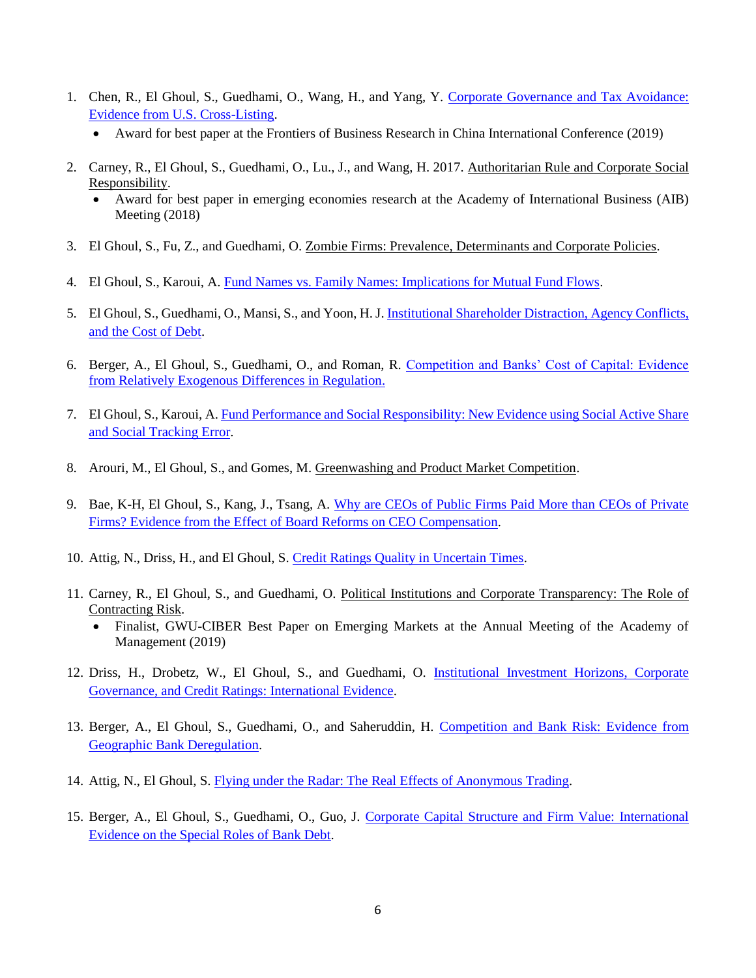- 1. Chen, R., El Ghoul, S., Guedhami, O., Wang, H., and Yang, Y. [Corporate Governance and Tax Avoidance:](https://papers.ssrn.com/sol3/papers.cfm?abstract_id=3409587)  [Evidence from U.S. Cross-Listing.](https://papers.ssrn.com/sol3/papers.cfm?abstract_id=3409587)
	- Award for best paper at the Frontiers of Business Research in China International Conference (2019)
- 2. Carney, R., El Ghoul, S., Guedhami, O., Lu., J., and Wang, H. 2017. Authoritarian Rule and Corporate Social Responsibility.
	- Award for best paper in emerging economies research at the Academy of International Business (AIB) Meeting (2018)
- 3. El Ghoul, S., Fu, Z., and Guedhami, O. Zombie Firms: Prevalence, Determinants and Corporate Policies.
- 4. El Ghoul, S., Karoui, A. [Fund Names vs. Family Names: Implications for Mutual Fund Flows.](https://papers.ssrn.com/sol3/papers.cfm?abstract_id=3570735)
- 5. El Ghoul, S., Guedhami, O., Mansi, S., and Yoon, H. J[. Institutional Shareholder Distraction, Agency Conflicts,](https://papers.ssrn.com/sol3/papers.cfm?abstract_id=3520239)  [and the Cost of Debt.](https://papers.ssrn.com/sol3/papers.cfm?abstract_id=3520239)
- 6. Berger, A., El Ghoul, S., Guedhami, O., and Roman, R. [Competition and Banks' Cost of Capital: Evidence](https://papers.ssrn.com/sol3/papers.cfm?abstract_id=3290940)  [from Relatively Exogenous Differences in Regulation.](https://papers.ssrn.com/sol3/papers.cfm?abstract_id=3290940)
- 7. El Ghoul, S., Karoui, A. [Fund Performance and Social Responsibility: New Evidence using Social Active Share](https://papers.ssrn.com/sol3/papers.cfm?abstract_id=3489201)  [and Social Tracking Error.](https://papers.ssrn.com/sol3/papers.cfm?abstract_id=3489201)
- 8. Arouri, M., El Ghoul, S., and Gomes, M. Greenwashing and Product Market Competition.
- 9. Bae, K-H, El Ghoul, S., Kang, J., Tsang, A. [Why are CEOs of Public Firms Paid More than CEOs of Private](https://papers.ssrn.com/sol3/papers.cfm?abstract_id=3365138)  [Firms? Evidence from the Effect of Board Reforms on CEO Compensation.](https://papers.ssrn.com/sol3/papers.cfm?abstract_id=3365138)
- 10. Attig, N., Driss, H., and El Ghoul, S. [Credit Ratings Quality in Uncertain Times.](https://papers.ssrn.com/sol3/papers.cfm?abstract_id=3700568)
- 11. Carney, R., El Ghoul, S., and Guedhami, O. Political Institutions and Corporate Transparency: The Role of Contracting Risk.
	- Finalist, GWU-CIBER Best Paper on Emerging Markets at the Annual Meeting of the Academy of Management (2019)
- 12. Driss, H., Drobetz, W., El Ghoul, S., and Guedhami, O. [Institutional Investment Horizons, Corporate](https://papers.ssrn.com/sol3/papers.cfm?abstract_id=3627498)  [Governance, and Credit Ratings: International Evidence.](https://papers.ssrn.com/sol3/papers.cfm?abstract_id=3627498)
- 13. Berger, A., El Ghoul, S., Guedhami, O., and Saheruddin, H. Competition and Bank Risk: Evidence from [Geographic Bank Deregulation.](https://papers.ssrn.com/sol3/papers.cfm?abstract_id=3440918)
- 14. Attig, N., El Ghoul, S. [Flying under the Radar: The Real Effects of Anonymous Trading.](https://papers.ssrn.com/sol3/papers.cfm?abstract_id=3719656)
- 15. Berger, A., El Ghoul, S., Guedhami, O., Guo, J. [Corporate Capital Structure and Firm Value: International](https://papers.ssrn.com/sol3/papers.cfm?abstract_id=3726764)  [Evidence on the Special Roles of Bank](https://papers.ssrn.com/sol3/papers.cfm?abstract_id=3726764) Debt.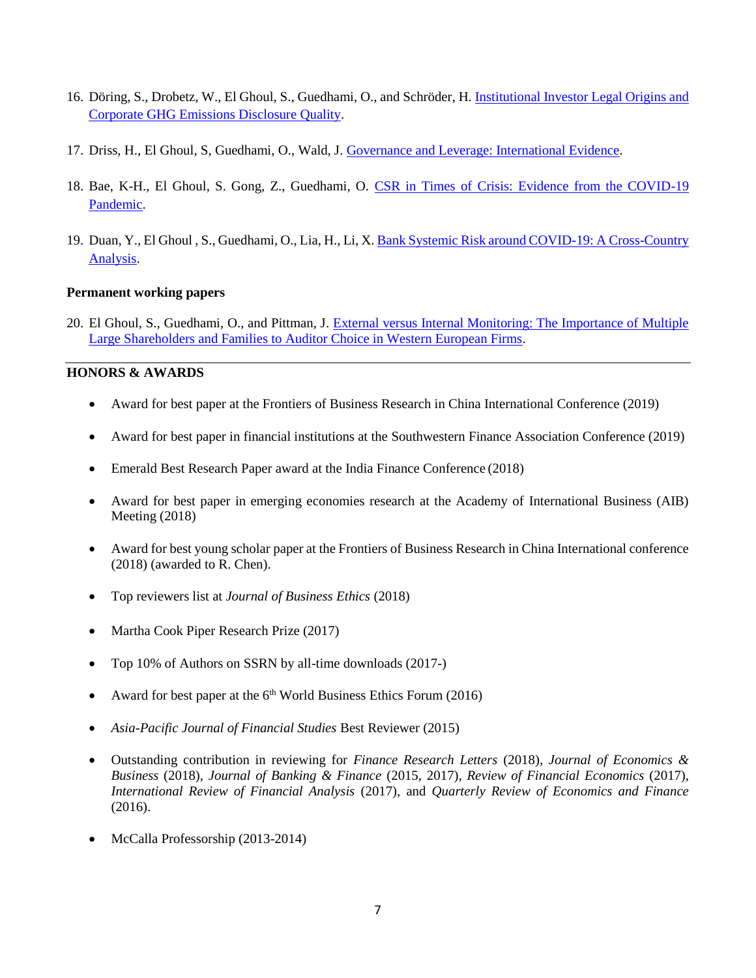- 16. Döring, S., Drobetz, W., El Ghoul, S., Guedhami, O., and Schröder, H[. Institutional Investor Legal Origins and](https://papers.ssrn.com/sol3/papers.cfm?abstract_id=3725355)  [Corporate GHG Emissions Disclosure Quality.](https://papers.ssrn.com/sol3/papers.cfm?abstract_id=3725355)
- 17. Driss, H., El Ghoul, S, Guedhami, O., Wald, J[. Governance and Leverage: International Evidence.](https://papers.ssrn.com/sol3/papers.cfm?abstract_id=3704053)
- 18. Bae, K-H., El Ghoul, S. Gong, Z., Guedhami, O. CSR in Times of Crisis: Evidence from the COVID-19 [Pandemic.](https://papers.ssrn.com/sol3/papers.cfm?abstract_id=3726390)
- 19. Duan, Y., El Ghoul , S., Guedhami, O., Lia, H., Li, X[. Bank Systemic Risk around COVID-19: A Cross-Country](https://papers.ssrn.com/sol3/papers.cfm?abstract_id=3713218)  [Analysis.](https://papers.ssrn.com/sol3/papers.cfm?abstract_id=3713218)

### **Permanent working papers**

20. El Ghoul, S., Guedhami, O., and Pittman, J. [External versus Internal Monitoring: The Importance of Multiple](about:blank)  [Large Shareholders and Families to Auditor Choice in Western European Firms.](about:blank)

## **HONORS & AWARDS**

- Award for best paper at the Frontiers of Business Research in China International Conference (2019)
- Award for best paper in financial institutions at the Southwestern Finance Association Conference (2019)
- Emerald Best Research Paper award at the India Finance Conference (2018)
- Award for best paper in emerging economies research at the Academy of International Business (AIB) Meeting (2018)
- Award for best young scholar paper at the Frontiers of Business Research in China International conference (2018) (awarded to R. Chen).
- Top reviewers list at *Journal of Business Ethics* (2018)
- Martha Cook Piper Research Prize (2017)
- Top 10% of Authors on SSRN by all-time downloads (2017-)
- Award for best paper at the  $6<sup>th</sup>$  World Business Ethics Forum (2016)
- *Asia-Pacific Journal of Financial Studies* Best Reviewer (2015)
- Outstanding contribution in reviewing for *Finance Research Letters* (2018), *Journal of Economics & Business* (2018), *Journal of Banking & Finance* (2015, 2017), *Review of Financial Economics* (2017), *International Review of Financial Analysis* (2017), and *Quarterly Review of Economics and Finance* (2016).
- McCalla Professorship (2013-2014)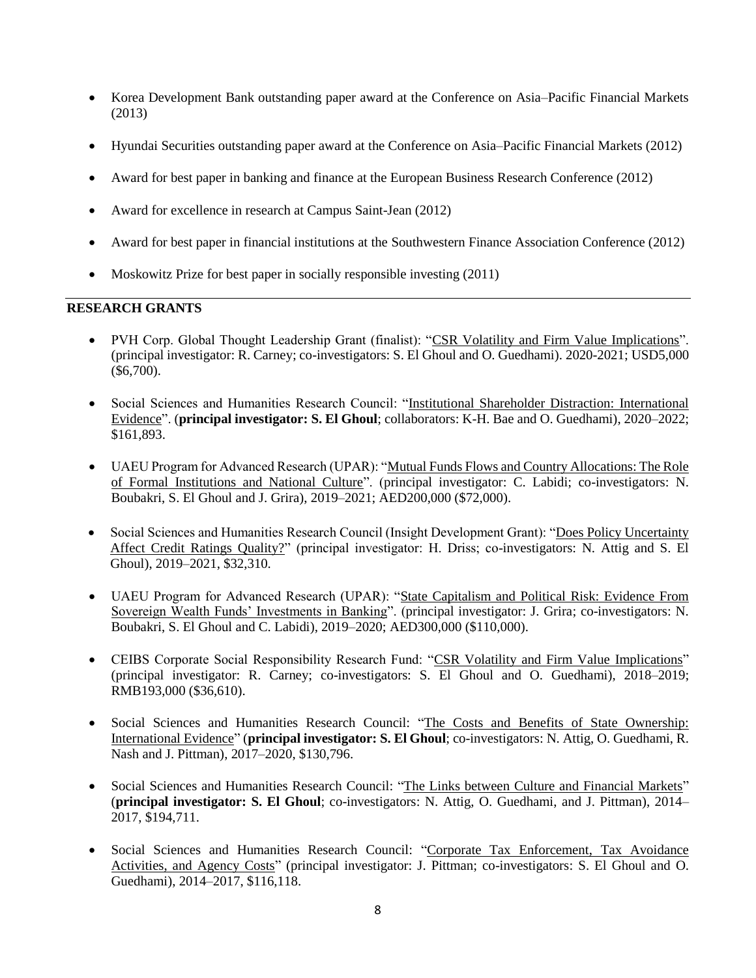- Korea Development Bank outstanding paper award at the Conference on Asia–Pacific Financial Markets (2013)
- Hyundai Securities outstanding paper award at the Conference on Asia–Pacific Financial Markets (2012)
- Award for best paper in banking and finance at the European Business Research Conference (2012)
- Award for excellence in research at Campus Saint-Jean (2012)
- Award for best paper in financial institutions at the Southwestern Finance Association Conference (2012)
- Moskowitz Prize for best paper in socially responsible investing (2011)

#### **RESEARCH GRANTS**

- PVH Corp. Global Thought Leadership Grant (finalist): "CSR Volatility and Firm Value Implications". (principal investigator: R. Carney; co-investigators: S. El Ghoul and O. Guedhami). 2020-2021; USD5,000 (\$6,700).
- Social Sciences and Humanities Research Council: "Institutional Shareholder Distraction: International Evidence". (**principal investigator: S. El Ghoul**; collaborators: K-H. Bae and O. Guedhami), 2020–2022; \$161,893.
- UAEU Program for Advanced Research (UPAR): "Mutual Funds Flows and Country Allocations: The Role of Formal Institutions and National Culture". (principal investigator: C. Labidi; co-investigators: N. Boubakri, S. El Ghoul and J. Grira), 2019–2021; AED200,000 (\$72,000).
- Social Sciences and Humanities Research Council (Insight Development Grant): "Does Policy Uncertainty Affect Credit Ratings Quality?" (principal investigator: H. Driss; co-investigators: N. Attig and S. El Ghoul), 2019–2021, \$32,310.
- UAEU Program for Advanced Research (UPAR): "State Capitalism and Political Risk: Evidence From Sovereign Wealth Funds' Investments in Banking". (principal investigator: J. Grira; co-investigators: N. Boubakri, S. El Ghoul and C. Labidi), 2019–2020; AED300,000 (\$110,000).
- CEIBS Corporate Social Responsibility Research Fund: "CSR Volatility and Firm Value Implications" (principal investigator: R. Carney; co-investigators: S. El Ghoul and O. Guedhami), 2018–2019; RMB193,000 (\$36,610).
- Social Sciences and Humanities Research Council: "The Costs and Benefits of State Ownership: International Evidence" (**principal investigator: S. El Ghoul**; co-investigators: N. Attig, O. Guedhami, R. Nash and J. Pittman), 2017–2020, \$130,796.
- Social Sciences and Humanities Research Council: "The Links between Culture and Financial Markets" (**principal investigator: S. El Ghoul**; co-investigators: N. Attig, O. Guedhami, and J. Pittman), 2014– 2017, \$194,711.
- Social Sciences and Humanities Research Council: "Corporate Tax Enforcement, Tax Avoidance Activities, and Agency Costs" (principal investigator: J. Pittman; co-investigators: S. El Ghoul and O. Guedhami), 2014–2017, \$116,118.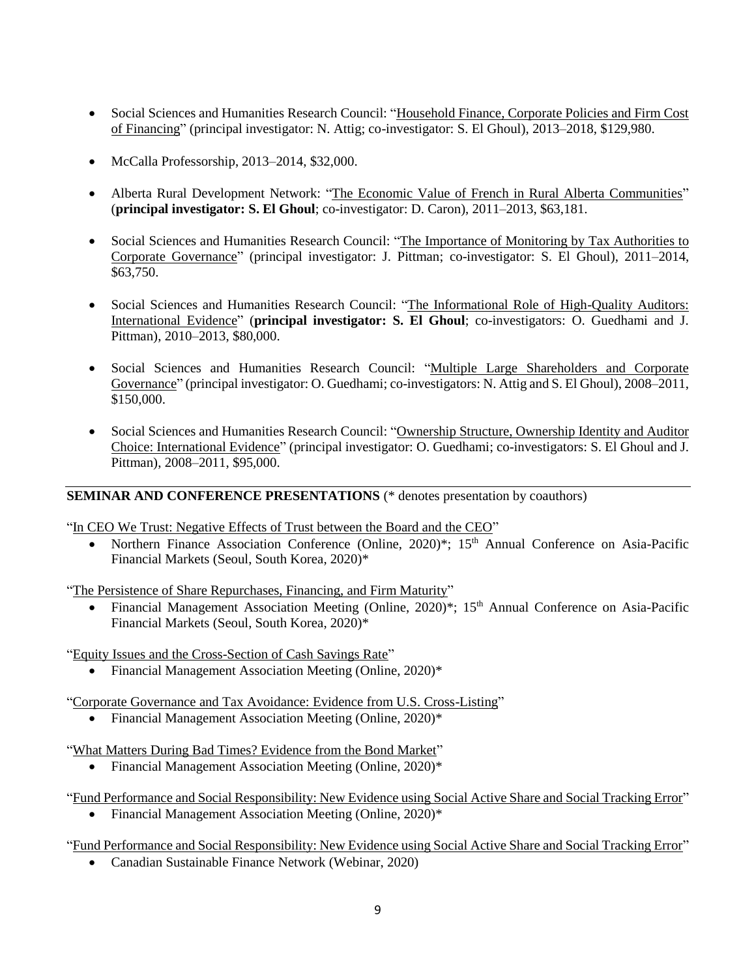- Social Sciences and Humanities Research Council: "Household Finance, Corporate Policies and Firm Cost of Financing" (principal investigator: N. Attig; co-investigator: S. El Ghoul), 2013–2018, \$129,980.
- McCalla Professorship, 2013–2014, \$32,000.
- Alberta Rural Development Network: "The Economic Value of French in Rural Alberta Communities" (**principal investigator: S. El Ghoul**; co-investigator: D. Caron), 2011–2013, \$63,181.
- Social Sciences and Humanities Research Council: "The Importance of Monitoring by Tax Authorities to Corporate Governance" (principal investigator: J. Pittman; co-investigator: S. El Ghoul), 2011–2014, \$63,750.
- Social Sciences and Humanities Research Council: "The Informational Role of High-Quality Auditors: International Evidence" (**principal investigator: S. El Ghoul**; co-investigators: O. Guedhami and J. Pittman), 2010–2013, \$80,000.
- Social Sciences and Humanities Research Council: "Multiple Large Shareholders and Corporate Governance" (principal investigator: O. Guedhami; co-investigators: N. Attig and S. El Ghoul), 2008–2011, \$150,000.
- Social Sciences and Humanities Research Council: "Ownership Structure, Ownership Identity and Auditor Choice: International Evidence" (principal investigator: O. Guedhami; co-investigators: S. El Ghoul and J. Pittman), 2008–2011, \$95,000.

# **SEMINAR AND CONFERENCE PRESENTATIONS** (\* denotes presentation by coauthors)

"In CEO We Trust: Negative Effects of Trust between the Board and the CEO"

• Northern Finance Association Conference (Online, 2020)<sup>\*</sup>; 15<sup>th</sup> Annual Conference on Asia-Pacific Financial Markets (Seoul, South Korea, 2020)\*

"The Persistence of Share Repurchases, Financing, and Firm Maturity"

Financial Management Association Meeting (Online, 2020)<sup>\*</sup>; 15<sup>th</sup> Annual Conference on Asia-Pacific Financial Markets (Seoul, South Korea, 2020)\*

"Equity Issues and the Cross-Section of Cash Savings Rate"

• Financial Management Association Meeting (Online, 2020)\*

"Corporate Governance and Tax Avoidance: Evidence from U.S. Cross-Listing"

• Financial Management Association Meeting (Online, 2020)\*

"What Matters During Bad Times? Evidence from the Bond Market"

- Financial Management Association Meeting (Online, 2020)\*
- "Fund Performance and Social Responsibility: New Evidence using Social Active Share and Social Tracking Error"
	- Financial Management Association Meeting (Online, 2020)\*

"Fund Performance and Social Responsibility: New Evidence using Social Active Share and Social Tracking Error"

Canadian Sustainable Finance Network (Webinar, 2020)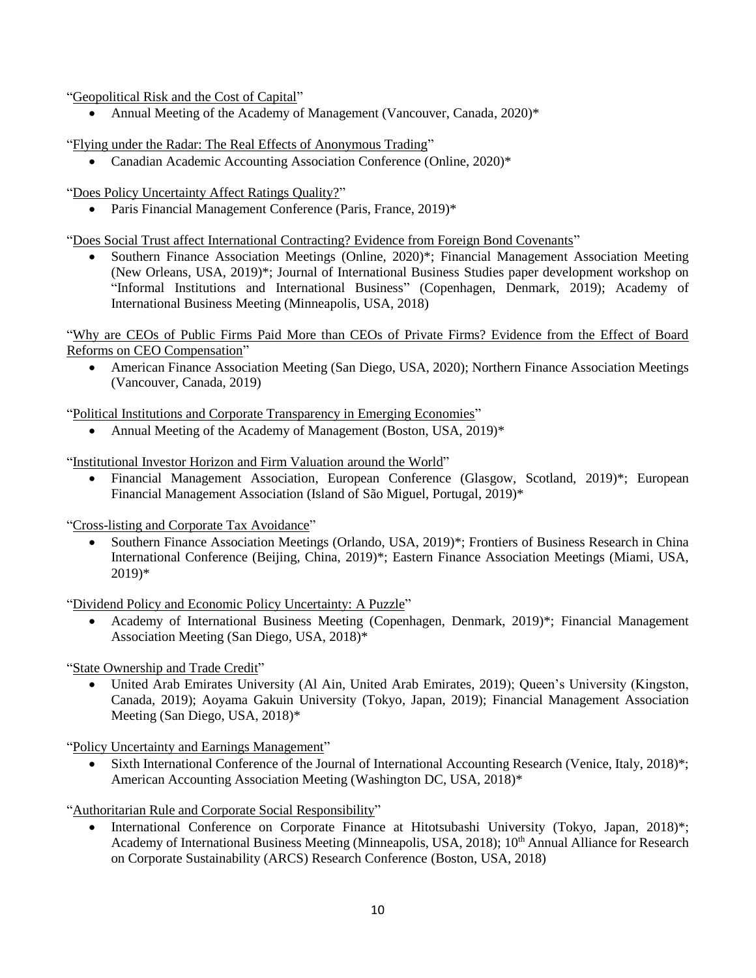"Geopolitical Risk and the Cost of Capital"

• Annual Meeting of the Academy of Management (Vancouver, Canada, 2020)\*

"Flying under the Radar: The Real Effects of Anonymous Trading"

Canadian Academic Accounting Association Conference (Online, 2020)\*

"Does Policy Uncertainty Affect Ratings Quality?"

Paris Financial Management Conference (Paris, France, 2019)\*

"Does Social Trust affect International Contracting? Evidence from Foreign Bond Covenants"

• Southern Finance Association Meetings (Online, 2020)<sup>\*</sup>; Financial Management Association Meeting (New Orleans, USA, 2019)\*; Journal of International Business Studies paper development workshop on "Informal Institutions and International Business" (Copenhagen, Denmark, 2019); Academy of International Business Meeting (Minneapolis, USA, 2018)

"Why are CEOs of Public Firms Paid More than CEOs of Private Firms? Evidence from the Effect of Board Reforms on CEO Compensation"

 American Finance Association Meeting (San Diego, USA, 2020); Northern Finance Association Meetings (Vancouver, Canada, 2019)

"Political Institutions and Corporate Transparency in Emerging Economies"

• Annual Meeting of the Academy of Management (Boston, USA, 2019)<sup>\*</sup>

"Institutional Investor Horizon and Firm Valuation around the World"

 Financial Management Association, European Conference (Glasgow, Scotland, 2019)\*; European Financial Management Association (Island of São Miguel, Portugal, 2019)\*

"Cross-listing and Corporate Tax Avoidance"

 Southern Finance Association Meetings (Orlando, USA, 2019)\*; Frontiers of Business Research in China International Conference (Beijing, China, 2019)\*; Eastern Finance Association Meetings (Miami, USA, 2019)\*

"Dividend Policy and Economic Policy Uncertainty: A Puzzle"

 Academy of International Business Meeting (Copenhagen, Denmark, 2019)\*; Financial Management Association Meeting (San Diego, USA, 2018)\*

"State Ownership and Trade Credit"

 United Arab Emirates University (Al Ain, United Arab Emirates, 2019); Queen's University (Kingston, Canada, 2019); Aoyama Gakuin University (Tokyo, Japan, 2019); Financial Management Association Meeting (San Diego, USA, 2018)\*

"Policy Uncertainty and Earnings Management"

 Sixth International Conference of the Journal of International Accounting Research (Venice, Italy, 2018)\*; American Accounting Association Meeting (Washington DC, USA, 2018)\*

"Authoritarian Rule and Corporate Social Responsibility"

 International Conference on Corporate Finance at Hitotsubashi University (Tokyo, Japan, 2018)\*; Academy of International Business Meeting (Minneapolis, USA, 2018); 10<sup>th</sup> Annual Alliance for Research on Corporate Sustainability (ARCS) Research Conference (Boston, USA, 2018)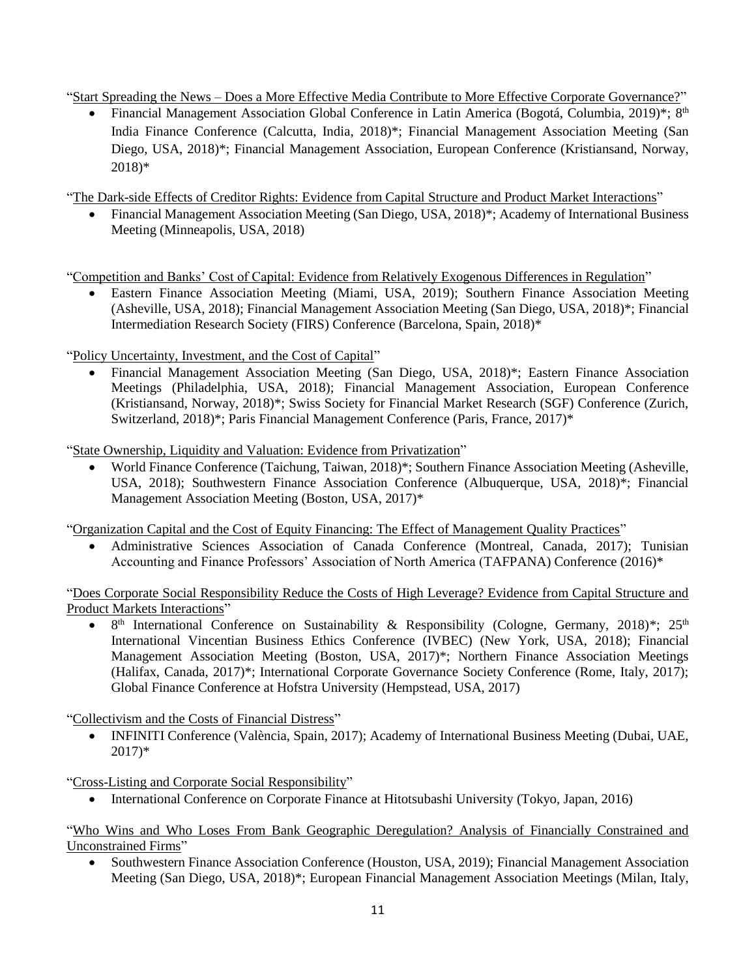"Start Spreading the News – Does a More Effective Media Contribute to More Effective Corporate Governance?"

• Financial Management Association Global Conference in Latin America (Bogotá, Columbia, 2019)\*; 8<sup>th</sup> India Finance Conference (Calcutta, India, 2018)\*; Financial Management Association Meeting (San Diego, USA, 2018)\*; Financial Management Association, European Conference (Kristiansand, Norway, 2018)\*

"The Dark-side Effects of Creditor Rights: Evidence from Capital Structure and Product Market Interactions"

• Financial Management Association Meeting (San Diego, USA, 2018)<sup>\*</sup>; Academy of International Business Meeting (Minneapolis, USA, 2018)

"Competition and Banks' Cost of Capital: Evidence from Relatively Exogenous Differences in Regulation"

 Eastern Finance Association Meeting (Miami, USA, 2019); Southern Finance Association Meeting (Asheville, USA, 2018); Financial Management Association Meeting (San Diego, USA, 2018)\*; Financial Intermediation Research Society (FIRS) Conference (Barcelona, Spain, 2018)\*

"Policy Uncertainty, Investment, and the Cost of Capital"

 Financial Management Association Meeting (San Diego, USA, 2018)\*; Eastern Finance Association Meetings (Philadelphia, USA, 2018); Financial Management Association, European Conference (Kristiansand, Norway, 2018)\*; Swiss Society for Financial Market Research (SGF) Conference (Zurich, Switzerland, 2018)\*; Paris Financial Management Conference (Paris, France, 2017)\*

"State Ownership, Liquidity and Valuation: Evidence from Privatization"

 World Finance Conference (Taichung, Taiwan, 2018)\*; Southern Finance Association Meeting (Asheville, USA, 2018); Southwestern Finance Association Conference (Albuquerque, USA, 2018)\*; Financial Management Association Meeting (Boston, USA, 2017)\*

"Organization Capital and the Cost of Equity Financing: The Effect of Management Quality Practices"

 Administrative Sciences Association of Canada Conference (Montreal, Canada, 2017); Tunisian Accounting and Finance Professors' Association of North America (TAFPANA) Conference (2016)\*

"Does Corporate Social Responsibility Reduce the Costs of High Leverage? Evidence from Capital Structure and Product Markets Interactions"

• 8<sup>th</sup> International Conference on Sustainability & Responsibility (Cologne, Germany, 2018)\*; 25<sup>th</sup> International Vincentian Business Ethics Conference (IVBEC) (New York, USA, 2018); Financial Management Association Meeting (Boston, USA, 2017)\*; Northern Finance Association Meetings (Halifax, Canada, 2017)\*; International Corporate Governance Society Conference (Rome, Italy, 2017); Global Finance Conference at Hofstra University (Hempstead, USA, 2017)

"Collectivism and the Costs of Financial Distress"

 INFINITI Conference (València, Spain, 2017); Academy of International Business Meeting (Dubai, UAE, 2017)\*

"Cross-Listing and Corporate Social Responsibility"

International Conference on Corporate Finance at Hitotsubashi University (Tokyo, Japan, 2016)

"Who Wins and Who Loses From Bank Geographic Deregulation? Analysis of Financially Constrained and Unconstrained Firms"

 Southwestern Finance Association Conference (Houston, USA, 2019); Financial Management Association Meeting (San Diego, USA, 2018)\*; European Financial Management Association Meetings (Milan, Italy,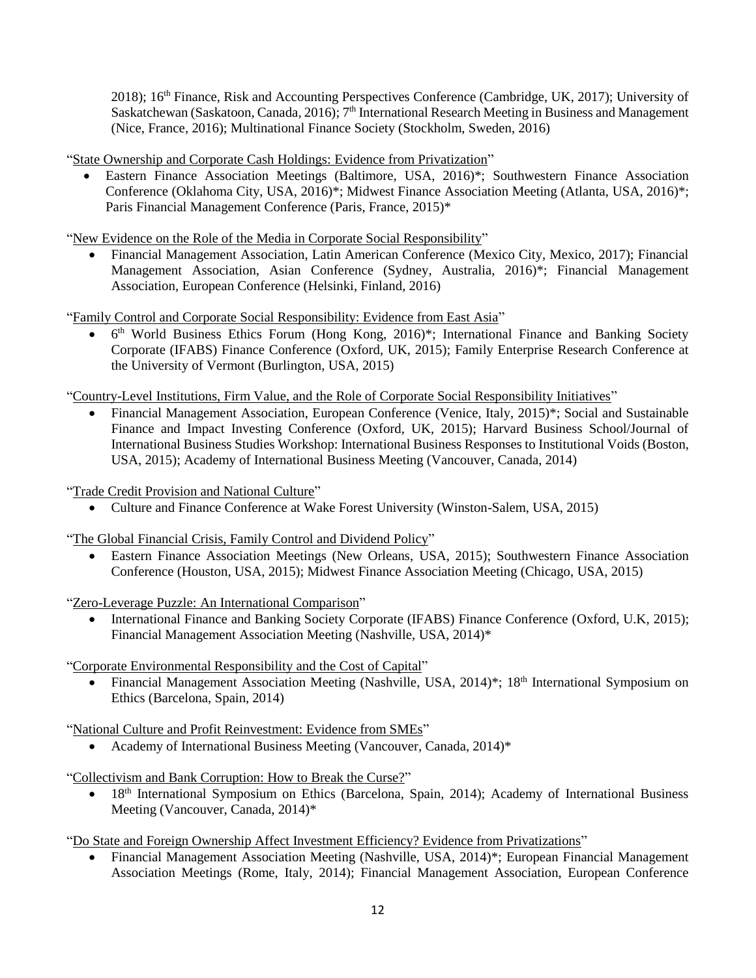2018); 16th Finance, Risk and Accounting Perspectives Conference (Cambridge, UK, 2017); University of Saskatchewan (Saskatoon, Canada, 2016);  $7<sup>th</sup>$  International Research Meeting in Business and Management (Nice, France, 2016); Multinational Finance Society (Stockholm, Sweden, 2016)

"State Ownership and Corporate Cash Holdings: Evidence from Privatization"

 Eastern Finance Association Meetings (Baltimore, USA, 2016)\*; Southwestern Finance Association Conference (Oklahoma City, USA, 2016)\*; Midwest Finance Association Meeting (Atlanta, USA, 2016)\*; Paris Financial Management Conference (Paris, France, 2015)\*

"New Evidence on the Role of the Media in Corporate Social Responsibility"

 Financial Management Association, Latin American Conference (Mexico City, Mexico, 2017); Financial Management Association, Asian Conference (Sydney, Australia, 2016)\*; Financial Management Association, European Conference (Helsinki, Finland, 2016)

"Family Control and Corporate Social Responsibility: Evidence from East Asia"

 6 th World Business Ethics Forum (Hong Kong, 2016)\*; International Finance and Banking Society Corporate (IFABS) Finance Conference (Oxford, UK, 2015); Family Enterprise Research Conference at the University of Vermont (Burlington, USA, 2015)

"Country-Level Institutions, Firm Value, and the Role of Corporate Social Responsibility Initiatives"

 Financial Management Association, European Conference (Venice, Italy, 2015)\*; Social and Sustainable Finance and Impact Investing Conference (Oxford, UK, 2015); Harvard Business School/Journal of International Business Studies Workshop: International Business Responses to Institutional Voids (Boston, USA, 2015); Academy of International Business Meeting (Vancouver, Canada, 2014)

"Trade Credit Provision and National Culture"

Culture and Finance Conference at Wake Forest University (Winston-Salem, USA, 2015)

"The Global Financial Crisis, Family Control and Dividend Policy"

 Eastern Finance Association Meetings (New Orleans, USA, 2015); Southwestern Finance Association Conference (Houston, USA, 2015); Midwest Finance Association Meeting (Chicago, USA, 2015)

"Zero-Leverage Puzzle: An International Comparison"

 International Finance and Banking Society Corporate (IFABS) Finance Conference (Oxford, U.K, 2015); Financial Management Association Meeting (Nashville, USA, 2014)\*

"Corporate Environmental Responsibility and the Cost of Capital"

Financial Management Association Meeting (Nashville, USA, 2014)<sup>\*</sup>; 18<sup>th</sup> International Symposium on Ethics (Barcelona, Spain, 2014)

"National Culture and Profit Reinvestment: Evidence from SMEs"

Academy of International Business Meeting (Vancouver, Canada, 2014)\*

"Collectivism and Bank Corruption: How to Break the Curse?"

18<sup>th</sup> International Symposium on Ethics (Barcelona, Spain, 2014); Academy of International Business Meeting (Vancouver, Canada, 2014)\*

"Do State and Foreign Ownership Affect Investment Efficiency? Evidence from Privatizations"

 Financial Management Association Meeting (Nashville, USA, 2014)\*; European Financial Management Association Meetings (Rome, Italy, 2014); Financial Management Association, European Conference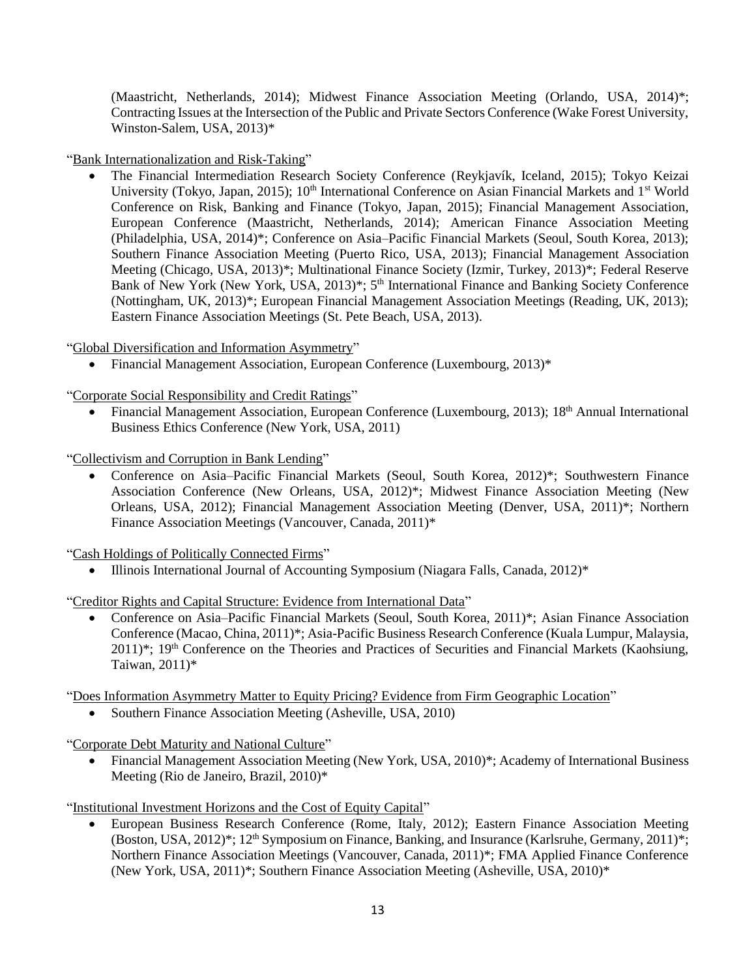(Maastricht, Netherlands, 2014); Midwest Finance Association Meeting (Orlando, USA, 2014)\*; Contracting Issues at the Intersection of the Public and Private Sectors Conference (Wake Forest University, Winston-Salem, USA, 2013)\*

"Bank Internationalization and Risk-Taking"

 The Financial Intermediation Research Society Conference (Reykjavík, Iceland, 2015); Tokyo Keizai University (Tokyo, Japan, 2015); 10<sup>th</sup> International Conference on Asian Financial Markets and 1<sup>st</sup> World Conference on Risk, Banking and Finance (Tokyo, Japan, 2015); Financial Management Association, European Conference (Maastricht, Netherlands, 2014); American Finance Association Meeting (Philadelphia, USA, 2014)\*; Conference on Asia–Pacific Financial Markets (Seoul, South Korea, 2013); Southern Finance Association Meeting (Puerto Rico, USA, 2013); Financial Management Association Meeting (Chicago, USA, 2013)\*; Multinational Finance Society (Izmir, Turkey, 2013)\*; Federal Reserve Bank of New York (New York, USA, 2013)<sup>\*</sup>; 5<sup>th</sup> International Finance and Banking Society Conference (Nottingham, UK, 2013)\*; European Financial Management Association Meetings (Reading, UK, 2013); Eastern Finance Association Meetings (St. Pete Beach, USA, 2013).

"Global Diversification and Information Asymmetry"

Financial Management Association, European Conference (Luxembourg, 2013)\*

"Corporate Social Responsibility and Credit Ratings"

• Financial Management Association, European Conference (Luxembourg, 2013); 18<sup>th</sup> Annual International Business Ethics Conference (New York, USA, 2011)

"Collectivism and Corruption in Bank Lending"

 Conference on Asia–Pacific Financial Markets (Seoul, South Korea, 2012)\*; Southwestern Finance Association Conference (New Orleans, USA, 2012)\*; Midwest Finance Association Meeting (New Orleans, USA, 2012); Financial Management Association Meeting (Denver, USA, 2011)\*; Northern Finance Association Meetings (Vancouver, Canada, 2011)\*

"Cash Holdings of Politically Connected Firms"

Illinois International Journal of Accounting Symposium (Niagara Falls, Canada, 2012)\*

"Creditor Rights and Capital Structure: Evidence from International Data"

 Conference on Asia–Pacific Financial Markets (Seoul, South Korea, 2011)\*; Asian Finance Association Conference (Macao, China, 2011)\*; Asia-Pacific Business Research Conference (Kuala Lumpur, Malaysia, 2011)\*; 19th Conference on the Theories and Practices of Securities and Financial Markets (Kaohsiung, Taiwan, 2011)\*

"Does Information Asymmetry Matter to Equity Pricing? Evidence from Firm Geographic Location"

Southern Finance Association Meeting (Asheville, USA, 2010)

"Corporate Debt Maturity and National Culture"

• Financial Management Association Meeting (New York, USA, 2010)\*; Academy of International Business Meeting (Rio de Janeiro, Brazil, 2010)\*

"Institutional Investment Horizons and the Cost of Equity Capital"

 European Business Research Conference (Rome, Italy, 2012); Eastern Finance Association Meeting (Boston, USA, 2012)\*; 12<sup>th</sup> Symposium on Finance, Banking, and Insurance (Karlsruhe, Germany, 2011)\*; Northern Finance Association Meetings (Vancouver, Canada, 2011)\*; FMA Applied Finance Conference (New York, USA, 2011)\*; Southern Finance Association Meeting (Asheville, USA, 2010)\*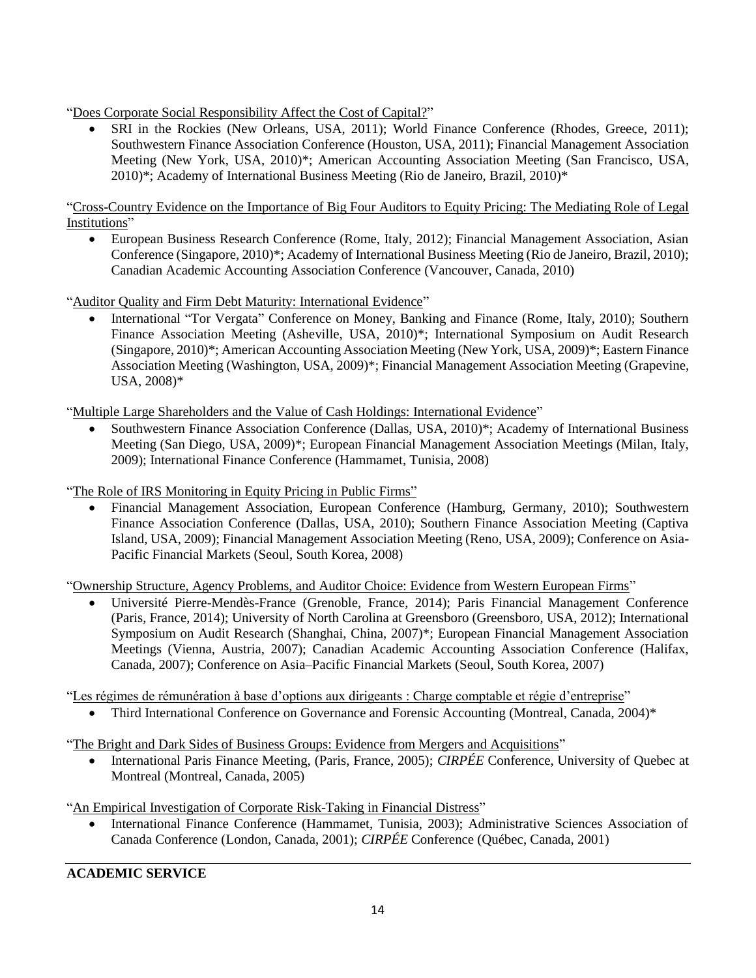"Does Corporate Social Responsibility Affect the Cost of Capital?"

 SRI in the Rockies (New Orleans, USA, 2011); World Finance Conference (Rhodes, Greece, 2011); Southwestern Finance Association Conference (Houston, USA, 2011); Financial Management Association Meeting (New York, USA, 2010)\*; American Accounting Association Meeting (San Francisco, USA, 2010)\*; Academy of International Business Meeting (Rio de Janeiro, Brazil, 2010)\*

"Cross-Country Evidence on the Importance of Big Four Auditors to Equity Pricing: The Mediating Role of Legal Institutions"

 European Business Research Conference (Rome, Italy, 2012); Financial Management Association, Asian Conference (Singapore, 2010)\*; Academy of International Business Meeting (Rio de Janeiro, Brazil, 2010); Canadian Academic Accounting Association Conference (Vancouver, Canada, 2010)

"Auditor Quality and Firm Debt Maturity: International Evidence"

• International "Tor Vergata" Conference on Money, Banking and Finance (Rome, Italy, 2010); Southern Finance Association Meeting (Asheville, USA, 2010)\*; International Symposium on Audit Research (Singapore, 2010)\*; American Accounting Association Meeting (New York, USA, 2009)\*; Eastern Finance Association Meeting (Washington, USA, 2009)\*; Financial Management Association Meeting (Grapevine, USA, 2008)\*

"Multiple Large Shareholders and the Value of Cash Holdings: International Evidence"

 Southwestern Finance Association Conference (Dallas, USA, 2010)\*; Academy of International Business Meeting (San Diego, USA, 2009)\*; European Financial Management Association Meetings (Milan, Italy, 2009); International Finance Conference (Hammamet, Tunisia, 2008)

"The Role of IRS Monitoring in Equity Pricing in Public Firms"

 Financial Management Association, European Conference (Hamburg, Germany, 2010); Southwestern Finance Association Conference (Dallas, USA, 2010); Southern Finance Association Meeting (Captiva Island, USA, 2009); Financial Management Association Meeting (Reno, USA, 2009); Conference on Asia-Pacific Financial Markets (Seoul, South Korea, 2008)

"Ownership Structure, Agency Problems, and Auditor Choice: Evidence from Western European Firms"

 Université Pierre-Mendès-France (Grenoble, France, 2014); Paris Financial Management Conference (Paris, France, 2014); University of North Carolina at Greensboro (Greensboro, USA, 2012); International Symposium on Audit Research (Shanghai, China, 2007)\*; European Financial Management Association Meetings (Vienna, Austria, 2007); Canadian Academic Accounting Association Conference (Halifax, Canada, 2007); Conference on Asia–Pacific Financial Markets (Seoul, South Korea, 2007)

"Les régimes de rémunération à base d'options aux dirigeants : Charge comptable et régie d'entreprise"

Third International Conference on Governance and Forensic Accounting (Montreal, Canada, 2004)\*

"The Bright and Dark Sides of Business Groups: Evidence from Mergers and Acquisitions"

• International Paris Finance Meeting, (Paris, France, 2005); *CIRPÉE* Conference, University of Quebec at Montreal (Montreal, Canada, 2005)

"An Empirical Investigation of Corporate Risk-Taking in Financial Distress"

 International Finance Conference (Hammamet, Tunisia, 2003); Administrative Sciences Association of Canada Conference (London, Canada, 2001); *CIRPÉE* Conference (Québec, Canada, 2001)

**ACADEMIC SERVICE**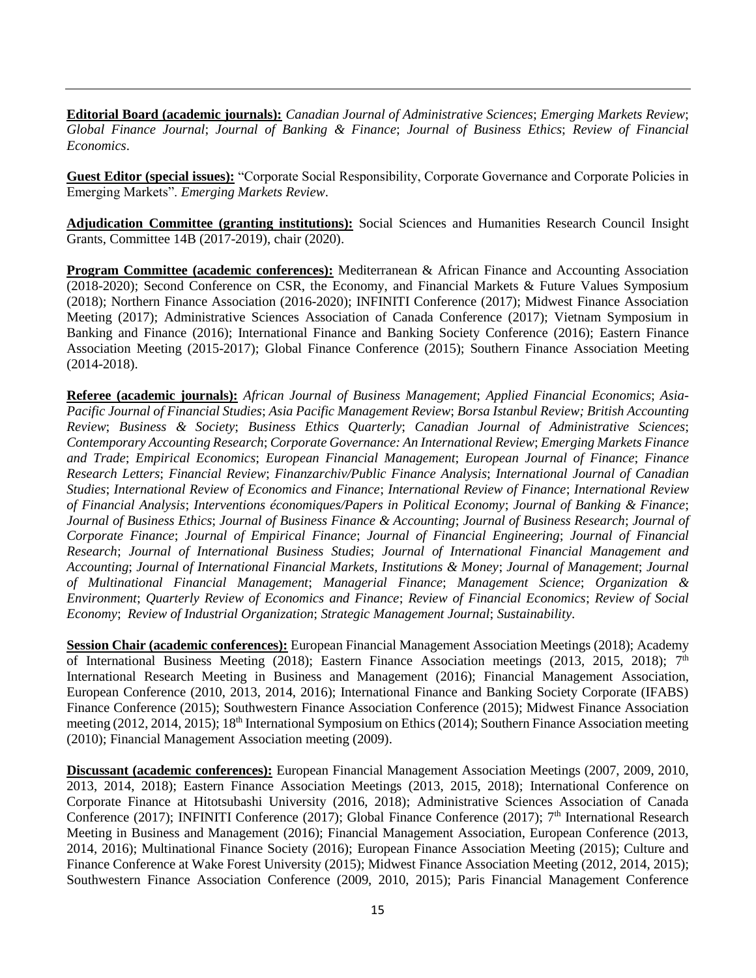**Editorial Board (academic journals):** *Canadian Journal of Administrative Sciences*; *Emerging Markets Review*; *Global Finance Journal*; *Journal of Banking & Finance*; *Journal of Business Ethics*; *Review of Financial Economics*.

**Guest Editor (special issues):** "Corporate Social Responsibility, Corporate Governance and Corporate Policies in Emerging Markets". *Emerging Markets Review*.

**Adjudication Committee (granting institutions):** Social Sciences and Humanities Research Council Insight Grants, Committee 14B (2017-2019), chair (2020).

**Program Committee (academic conferences):** Mediterranean & African Finance and Accounting Association (2018-2020); Second Conference on CSR, the Economy, and Financial Markets & Future Values Symposium (2018); Northern Finance Association (2016-2020); INFINITI Conference (2017); Midwest Finance Association Meeting (2017); Administrative Sciences Association of Canada Conference (2017); Vietnam Symposium in Banking and Finance (2016); International Finance and Banking Society Conference (2016); Eastern Finance Association Meeting (2015-2017); Global Finance Conference (2015); Southern Finance Association Meeting (2014-2018).

**Referee (academic journals):** *African Journal of Business Management*; *Applied Financial Economics*; *Asia-Pacific Journal of Financial Studies*; *Asia Pacific Management Review*; *Borsa Istanbul Review; British Accounting Review*; *Business & Society*; *Business Ethics Quarterly*; *Canadian Journal of Administrative Sciences*; *Contemporary Accounting Research*; *Corporate Governance: An International Review*; *Emerging Markets Finance and Trade*; *Empirical Economics*; *European Financial Management*; *European Journal of Finance*; *Finance Research Letters*; *Financial Review*; *Finanzarchiv/Public Finance Analysis*; *International Journal of Canadian Studies*; *International Review of Economics and Finance*; *International Review of Finance*; *International Review of Financial Analysis*; *Interventions économiques/Papers in Political Economy*; *Journal of Banking & Finance*; *Journal of Business Ethics*; *Journal of Business Finance & Accounting*; *Journal of Business Research*; *Journal of Corporate Finance*; *Journal of Empirical Finance*; *Journal of Financial Engineering*; *Journal of Financial Research*; *Journal of International Business Studies*; *Journal of International Financial Management and Accounting*; *Journal of International Financial Markets, Institutions & Money*; *Journal of Management*; *Journal of Multinational Financial Management*; *Managerial Finance*; *Management Science*; *Organization & Environment*; *Quarterly Review of Economics and Finance*; *Review of Financial Economics*; *Review of Social Economy*; *Review of Industrial Organization*; *Strategic Management Journal*; *Sustainability*.

**Session Chair (academic conferences):** European Financial Management Association Meetings (2018); Academy of International Business Meeting (2018); Eastern Finance Association meetings (2013, 2015, 2018); 7<sup>th</sup> International Research Meeting in Business and Management (2016); Financial Management Association, European Conference (2010, 2013, 2014, 2016); International Finance and Banking Society Corporate (IFABS) Finance Conference (2015); Southwestern Finance Association Conference (2015); Midwest Finance Association meeting (2012, 2014, 2015); 18<sup>th</sup> International Symposium on Ethics (2014); Southern Finance Association meeting (2010); Financial Management Association meeting (2009).

**Discussant (academic conferences):** European Financial Management Association Meetings (2007, 2009, 2010, 2013, 2014, 2018); Eastern Finance Association Meetings (2013, 2015, 2018); International Conference on Corporate Finance at Hitotsubashi University (2016, 2018); Administrative Sciences Association of Canada Conference (2017); INFINITI Conference (2017); Global Finance Conference (2017); 7<sup>th</sup> International Research Meeting in Business and Management (2016); Financial Management Association, European Conference (2013, 2014, 2016); Multinational Finance Society (2016); European Finance Association Meeting (2015); Culture and Finance Conference at Wake Forest University (2015); Midwest Finance Association Meeting (2012, 2014, 2015); Southwestern Finance Association Conference (2009, 2010, 2015); Paris Financial Management Conference